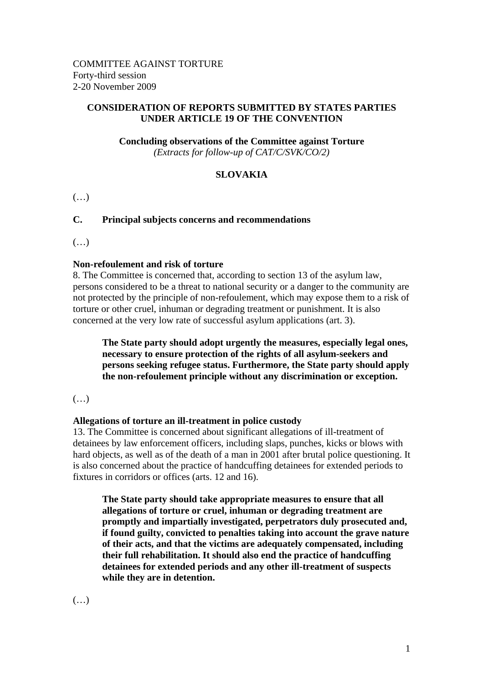### **CONSIDERATION OF REPORTS SUBMITTED BY STATES PARTIES UNDER ARTICLE 19 OF THE CONVENTION**

# **Concluding observations of the Committee against Torture**

*(Extracts for follow-up of CAT/C/SVK/CO/2)* 

# **SLOVAKIA**

 $(\ldots)$ 

# **C. Principal subjects concerns and recommendations**

 $(\ldots)$ 

### **Non-refoulement and risk of torture**

8. The Committee is concerned that, according to section 13 of the asylum law, persons considered to be a threat to national security or a danger to the community are not protected by the principle of non-refoulement, which may expose them to a risk of torture or other cruel, inhuman or degrading treatment or punishment. It is also concerned at the very low rate of successful asylum applications (art. 3).

**The State party should adopt urgently the measures, especially legal ones, necessary to ensure protection of the rights of all asylum-seekers and persons seeking refugee status. Furthermore, the State party should apply the non-refoulement principle without any discrimination or exception.**

(…)

## **Allegations of torture an ill-treatment in police custody**

13. The Committee is concerned about significant allegations of ill-treatment of detainees by law enforcement officers, including slaps, punches, kicks or blows with hard objects, as well as of the death of a man in 2001 after brutal police questioning. It is also concerned about the practice of handcuffing detainees for extended periods to fixtures in corridors or offices (arts. 12 and 16).

**The State party should take appropriate measures to ensure that all allegations of torture or cruel, inhuman or degrading treatment are promptly and impartially investigated, perpetrators duly prosecuted and, if found guilty, convicted to penalties taking into account the grave nature of their acts, and that the victims are adequately compensated, including their full rehabilitation. It should also end the practice of handcuffing detainees for extended periods and any other ill-treatment of suspects while they are in detention.**

(…)